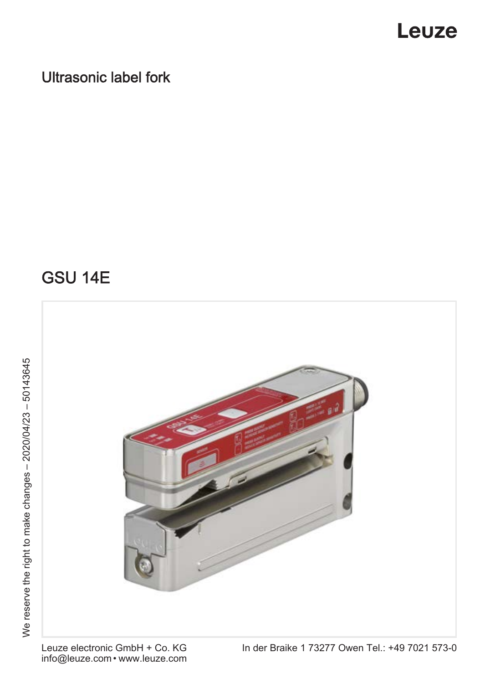### Ultrasonic label fork

### GSU 14E

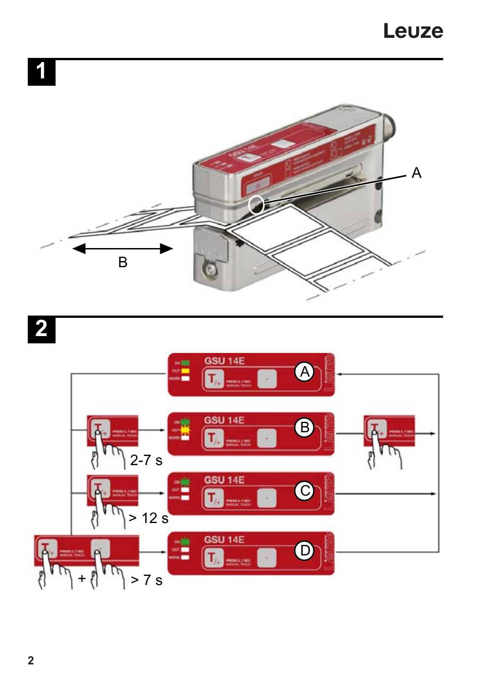





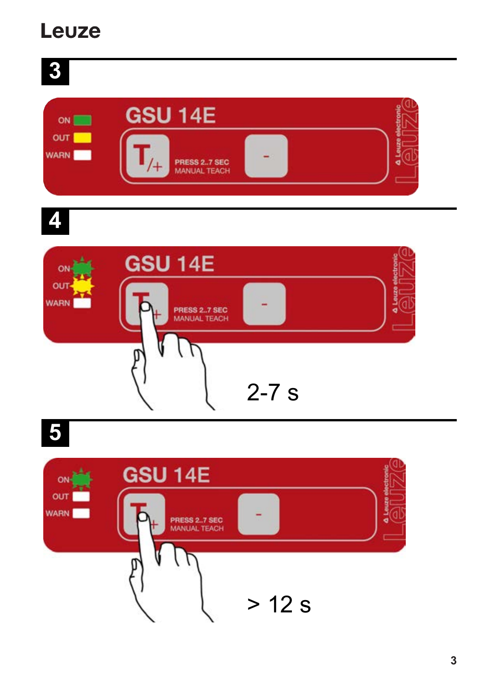$\mathbf{3}$ 

| ON                 | <b>GSU 14E</b>               |  |
|--------------------|------------------------------|--|
| OUT<br><b>WARN</b> | PRESS 27 SEC<br>MANUAL TEACH |  |
|                    |                              |  |

 $\hat{\bm{\phi}}$ 



 $\overline{\mathbf{5}}$ 

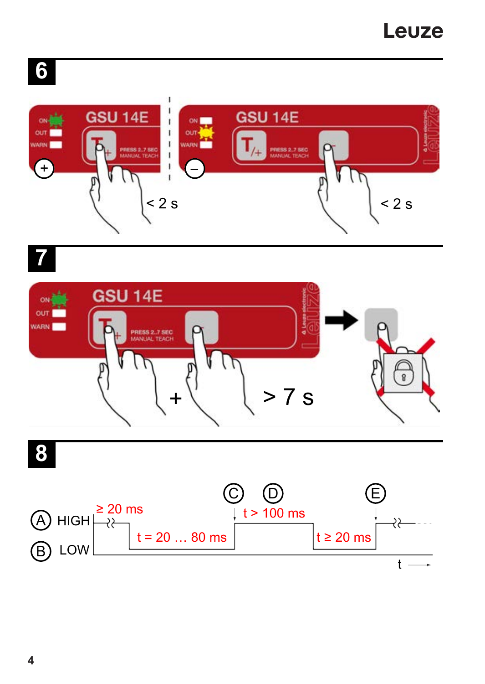# **6**







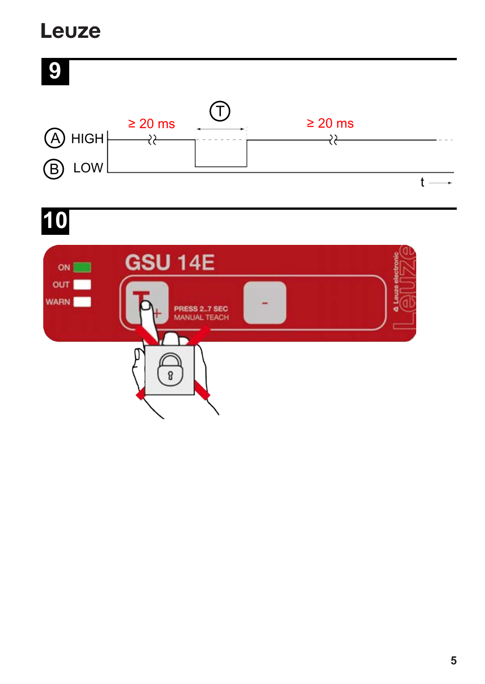

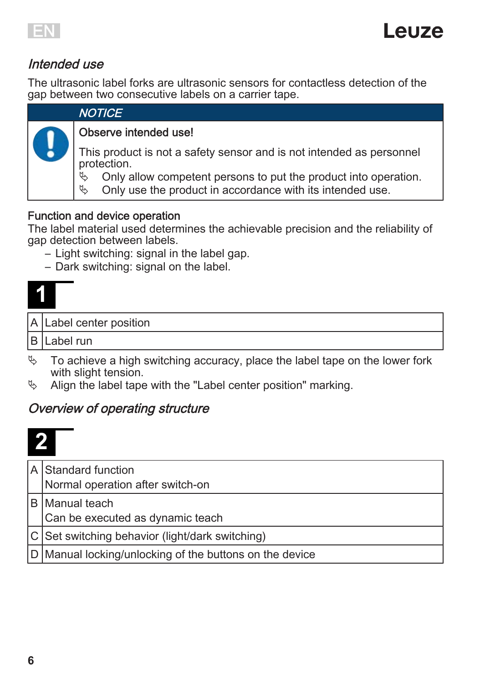

#### Intended use

The ultrasonic label forks are ultrasonic sensors for contactless detection of the gap between two consecutive labels on a carrier tape.

#### **NOTICE**

#### Observe intended use!

This product is not a safety sensor and is not intended as personnel protection.<br>A Only a

- Only allow competent persons to put the product into operation.
- $\&$  Only use the product in accordance with its intended use.

#### Function and device operation

The label material used determines the achievable precision and the reliability of gap detection between labels.

- Light switching: signal in the label gap.
- Dark switching: signal on the label.

|  | A Label center position |
|--|-------------------------|
|  |                         |

B Label run

- $\%$  To achieve a high switching accuracy, place the label tape on the lower fork with slight tension.
- $\%$  Align the label tape with the "Label center position" marking.

#### Overview of operating structure

| A Standard function<br>Normal operation after switch-on |
|---------------------------------------------------------|
| B Manual teach<br>Can be executed as dynamic teach      |
| C Set switching behavior (light/dark switching)         |
| D Manual locking/unlocking of the buttons on the device |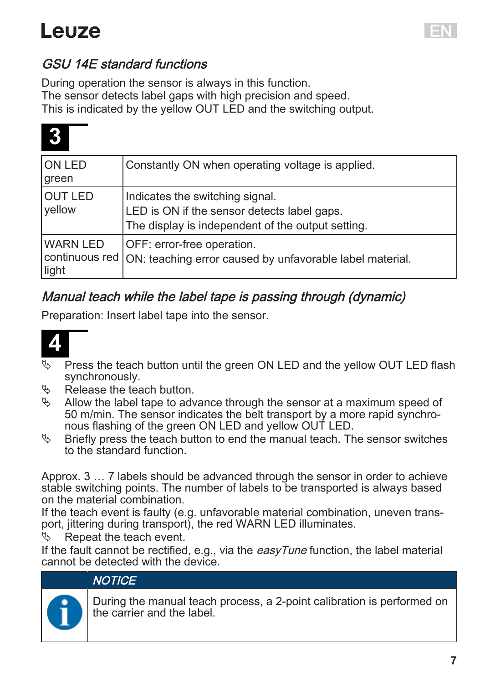

#### GSU 14E standard functions

During operation the sensor is always in this function. The sensor detects label gaps with high precision and speed. This is indicated by the yellow OUT LED and the switching output.

| ON LED<br>green          | Constantly ON when operating voltage is applied.                                                                                    |
|--------------------------|-------------------------------------------------------------------------------------------------------------------------------------|
| <b>OUT LED</b><br>vellow | Indicates the switching signal.<br>LED is ON if the sensor detects label gaps.<br>The display is independent of the output setting. |
| WARN LED<br>light        | OFF: error-free operation.<br>continuous red   ON: teaching error caused by unfavorable label material.                             |

### Manual teach while the label tape is passing through (dynamic)

Preparation: Insert label tape into the sensor.



- **EXECT** Press the teach button until the green ON LED and the yellow OUT LED flash synchronously.
- Ä Release the teach button.
- $\%$  Allow the label tape to advance through the sensor at a maximum speed of 50 m/min. The sensor indicates the belt transport by a more rapid synchronous flashing of the green ON LED and yellow OUT LED.
- $\%$  Briefly press the teach button to end the manual teach. The sensor switches to the standard function.

Approx. 3 … 7 labels should be advanced through the sensor in order to achieve stable switching points. The number of labels to be transported is always based on the material combination.

If the teach event is faulty (e.g. unfavorable material combination, uneven transport, jittering during transport), the red WARN LED illuminates.

Repeat the teach event.

If the fault cannot be rectified, e.g., via the  $easyTime$  function, the label material cannot be detected with the device.

#### **NOTICE**

During the manual teach process, a 2-point calibration is performed on the carrier and the label.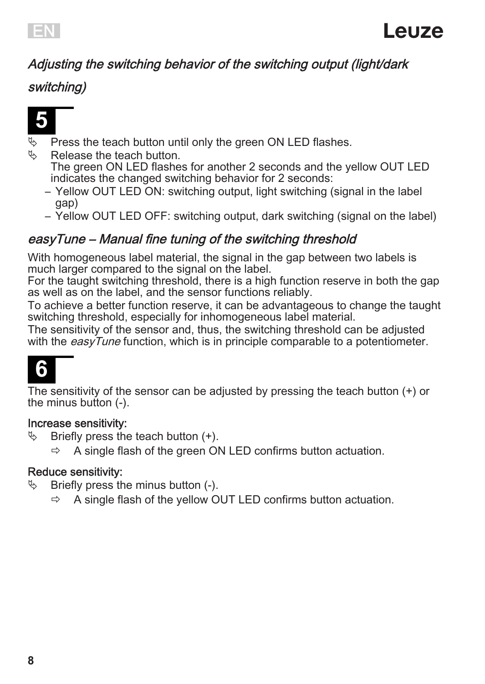

#### Adjusting the switching behavior of the switching output (light/dark

#### switching)



- **A** Press the teach button until only the green ON LED flashes.
	- Release the teach button. The green ON LED flashes for another 2 seconds and the yellow OUT LED indicates the changed switching behavior for 2 seconds:
		- Yellow OUT LED ON: switching output, light switching (signal in the label gap)
		- Yellow OUT LED OFF: switching output, dark switching (signal on the label)

#### easyTune – Manual fine tuning of the switching threshold

With homogeneous label material, the signal in the gap between two labels is much larger compared to the signal on the label.

For the taught switching threshold, there is a high function reserve in both the gap as well as on the label, and the sensor functions reliably.

To achieve a better function reserve, it can be advantageous to change the taught switching threshold, especially for inhomogeneous label material.

The sensitivity of the sensor and, thus, the switching threshold can be adjusted with the  $easV$ *Tune* function, which is in principle comparable to a potentiometer.

# **6**

The sensitivity of the sensor can be adjusted by pressing the teach button (+) or the minus button (-).

#### Increase sensitivity:

- $\%$  Briefly press the teach button  $(+)$ .
	- $\Rightarrow$  A single flash of the green ON LED confirms button actuation.

#### Reduce sensitivity:

- $\%$  Briefly press the minus button (-).
	- ð A single flash of the yellow OUT LED confirms button actuation.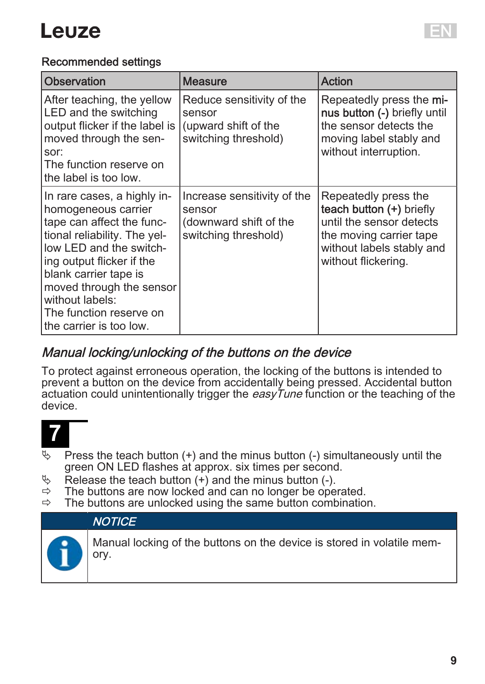

#### Recommended settings

| Observation                                                                                                                                                                                                                                                                                           | Measure                                                                                 | Action                                                                                                                                                      |
|-------------------------------------------------------------------------------------------------------------------------------------------------------------------------------------------------------------------------------------------------------------------------------------------------------|-----------------------------------------------------------------------------------------|-------------------------------------------------------------------------------------------------------------------------------------------------------------|
| After teaching, the yellow<br>LED and the switching<br>output flicker if the label is<br>moved through the sen-<br>sor:<br>The function reserve on<br>the label is too low.                                                                                                                           | Reduce sensitivity of the<br>sensor<br>(upward shift of the<br>switching threshold)     | Repeatedly press the mi-<br>nus button (-) briefly until<br>the sensor detects the<br>moving label stably and<br>without interruption.                      |
| In rare cases, a highly in-<br>homogeneous carrier<br>tape can affect the func-<br>tional reliability. The yel-<br>low LED and the switch-<br>ing output flicker if the<br>blank carrier tape is<br>moved through the sensor<br>without labels:<br>The function reserve on<br>the carrier is too low. | Increase sensitivity of the<br>sensor<br>(downward shift of the<br>switching threshold) | Repeatedly press the<br>teach button (+) briefly<br>until the sensor detects<br>the moving carrier tape<br>without labels stably and<br>without flickering. |

#### Manual locking/unlocking of the buttons on the device

To protect against erroneous operation, the locking of the buttons is intended to prevent a button on the device from accidentally being pressed. Accidental button actuation could unintentionally trigger the *easyTune* function or the teaching of the device.



- $\uparrow$  Press the teach button (+) and the minus button (-) simultaneously until the green ON LED flashes at approx. six times per second.
- $\&$  Release the teach button (+) and the minus button (-).<br> $\Rightarrow$  The buttons are now locked and can no longer be one
- $\Rightarrow$  The buttons are now locked and can no longer be operated.<br> $\Rightarrow$  The buttons are unlocked using the same button combination
- The buttons are unlocked using the same button combination.



Manual locking of the buttons on the device is stored in volatile memory.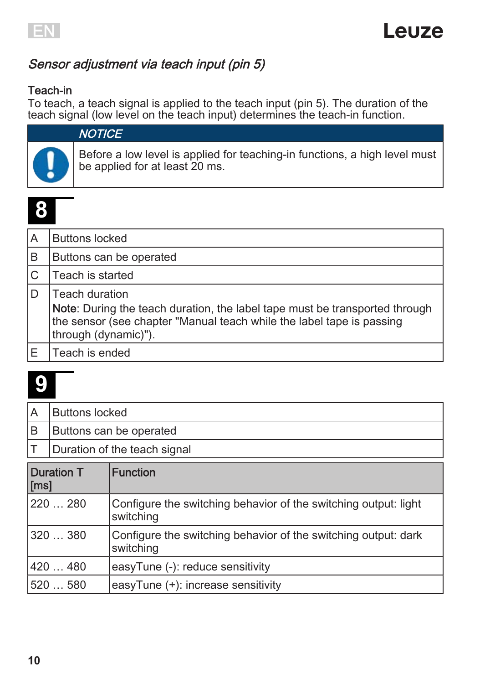

#### Sensor adjustment via teach input (pin 5)

#### Teach-in

To teach, a teach signal is applied to the teach input (pin 5). The duration of the teach signal (low level on the teach input) determines the teach-in function.



### **NOTICE**

Before a low level is applied for teaching-in functions, a high level must be applied for at least 20 ms.

# **8**

| A | <b>Buttons locked</b>                                                                                                                                                                          |
|---|------------------------------------------------------------------------------------------------------------------------------------------------------------------------------------------------|
| B | Buttons can be operated                                                                                                                                                                        |
| C | Teach is started                                                                                                                                                                               |
|   | Teach duration<br>Note: During the teach duration, the label tape must be transported through<br>the sensor (see chapter "Manual teach while the label tape is passing<br>through (dynamic)"). |
|   | Teach is ended                                                                                                                                                                                 |

|                                      | <b>Buttons locked</b>        |  |
|--------------------------------------|------------------------------|--|
| IВ                                   | Buttons can be operated      |  |
|                                      | Duration of the teach signal |  |
| <b>Duration T</b><br><b>Function</b> |                              |  |

| <b>Duration T</b><br>[ms] | <b>Function</b>                                                              |
|---------------------------|------------------------------------------------------------------------------|
| 220  280                  | Configure the switching behavior of the switching output: light<br>switching |
| 320  380                  | Configure the switching behavior of the switching output: dark<br>switching  |
| 420  480                  | easyTune (-): reduce sensitivity                                             |
| 520  580                  | easyTune (+): increase sensitivity                                           |